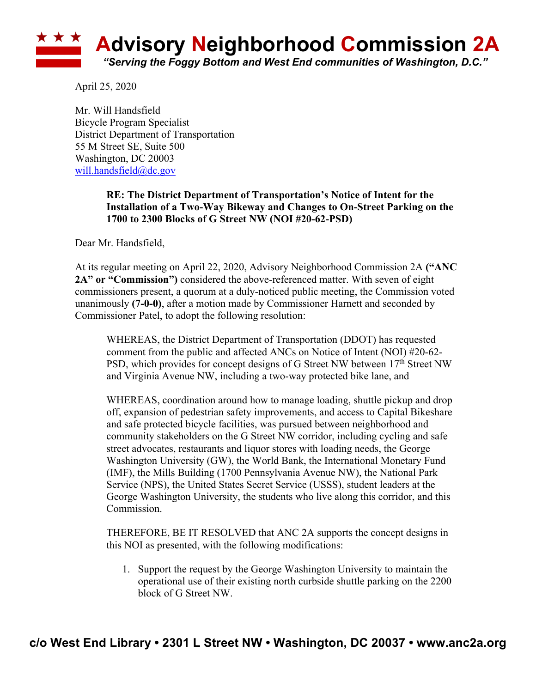## **Advisory Neighborhood Commission 2A** *"Serving the Foggy Bottom and West End communities of Washington, D.C."*

April 25, 2020

Mr. Will Handsfield Bicycle Program Specialist District Department of Transportation 55 M Street SE, Suite 500 Washington, DC 20003 will.handsfield@dc.gov

> **RE: The District Department of Transportation's Notice of Intent for the Installation of a Two-Way Bikeway and Changes to On-Street Parking on the 1700 to 2300 Blocks of G Street NW (NOI #20-62-PSD)**

Dear Mr. Handsfield,

At its regular meeting on April 22, 2020, Advisory Neighborhood Commission 2A **("ANC 2A" or "Commission")** considered the above-referenced matter. With seven of eight commissioners present, a quorum at a duly-noticed public meeting, the Commission voted unanimously **(7-0-0)**, after a motion made by Commissioner Harnett and seconded by Commissioner Patel, to adopt the following resolution:

WHEREAS, the District Department of Transportation (DDOT) has requested comment from the public and affected ANCs on Notice of Intent (NOI) #20-62- PSD, which provides for concept designs of G Street NW between 17<sup>th</sup> Street NW and Virginia Avenue NW, including a two-way protected bike lane, and

WHEREAS, coordination around how to manage loading, shuttle pickup and drop off, expansion of pedestrian safety improvements, and access to Capital Bikeshare and safe protected bicycle facilities, was pursued between neighborhood and community stakeholders on the G Street NW corridor, including cycling and safe street advocates, restaurants and liquor stores with loading needs, the George Washington University (GW), the World Bank, the International Monetary Fund (IMF), the Mills Building (1700 Pennsylvania Avenue NW), the National Park Service (NPS), the United States Secret Service (USSS), student leaders at the George Washington University, the students who live along this corridor, and this Commission.

THEREFORE, BE IT RESOLVED that ANC 2A supports the concept designs in this NOI as presented, with the following modifications:

1. Support the request by the George Washington University to maintain the operational use of their existing north curbside shuttle parking on the 2200 block of G Street NW.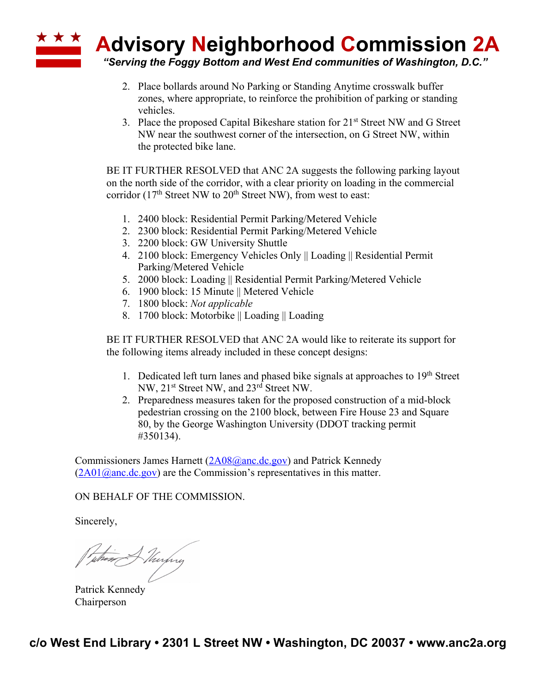

- 2. Place bollards around No Parking or Standing Anytime crosswalk buffer zones, where appropriate, to reinforce the prohibition of parking or standing vehicles.
- 3. Place the proposed Capital Bikeshare station for  $21^{st}$  Street NW and G Street NW near the southwest corner of the intersection, on G Street NW, within the protected bike lane.

BE IT FURTHER RESOLVED that ANC 2A suggests the following parking layout on the north side of the corridor, with a clear priority on loading in the commercial corridor ( $17<sup>th</sup>$  Street NW to  $20<sup>th</sup>$  Street NW), from west to east:

- 1. 2400 block: Residential Permit Parking/Metered Vehicle
- 2. 2300 block: Residential Permit Parking/Metered Vehicle
- 3. 2200 block: GW University Shuttle
- 4. 2100 block: Emergency Vehicles Only || Loading || Residential Permit Parking/Metered Vehicle
- 5. 2000 block: Loading || Residential Permit Parking/Metered Vehicle
- 6. 1900 block: 15 Minute || Metered Vehicle
- 7. 1800 block: *Not applicable*
- 8. 1700 block: Motorbike || Loading || Loading

BE IT FURTHER RESOLVED that ANC 2A would like to reiterate its support for the following items already included in these concept designs:

- 1. Dedicated left turn lanes and phased bike signals at approaches to 19th Street NW, 21st Street NW, and 23rd Street NW.
- 2. Preparedness measures taken for the proposed construction of a mid-block pedestrian crossing on the 2100 block, between Fire House 23 and Square 80, by the George Washington University (DDOT tracking permit #350134).

Commissioners James Harnett (2A08@anc.dc.gov) and Patrick Kennedy  $(2A01@anc.de.gov)$  are the Commission's representatives in this matter.

## ON BEHALF OF THE COMMISSION.

Sincerely,

when Murphy

Patrick Kennedy Chairperson

**c/o West End Library • 2301 L Street NW • Washington, DC 20037 • www.anc2a.org**